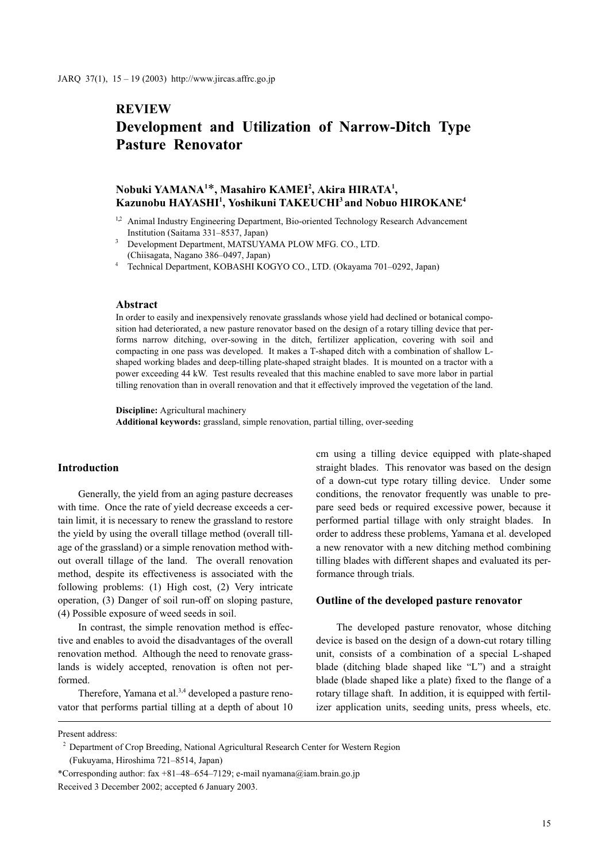# **REVIEW**

# Development and Utilization of Narrow-Ditch Type Pasture Renovator

# Nobuki YAMANA<sup>1\*</sup>, Masahiro KAMEI<sup>2</sup>, Akira HIRATA<sup>1</sup>,  $\rm\,Kazunobu\,HAYASHI^{1},\,Yoshikuni\,TAKEUCHI^{3}$  and  $\rm\,Nobuo\,HIROKANE^{4}$

- <sup>1,2</sup> Animal Industry Engineering Department, Bio-oriented Technology Research Advancement Institution (Saitama 331–8537, Japan)
- Development Department, MATSUYAMA PLOW MFG. CO., LTD. (Chiisagata, Nagano 386–0497, Japan)
- Technical Department, KOBASHI KOGYO CO., LTD. (Okayama 701–0292, Japan)

#### Abstract

In order to easily and inexpensively renovate grasslands whose yield had declined or botanical composition had deteriorated, a new pasture renovator based on the design of a rotary tilling device that performs narrow ditching, over-sowing in the ditch, fertilizer application, covering with soil and compacting in one pass was developed. It makes a T-shaped ditch with a combination of shallow Lshaped working blades and deep-tilling plate-shaped straight blades. It is mounted on a tractor with a power exceeding 44 kW. Test results revealed that this machine enabled to save more labor in partial tilling renovation than in overall renovation and that it effectively improved the vegetation of the land.

Discipline: Agricultural machinery Additional keywords: grassland, simple renovation, partial tilling, over-seeding

#### Introduction

Generally, the yield from an aging pasture decreases with time. Once the rate of yield decrease exceeds a certain limit, it is necessary to renew the grassland to restore the yield by using the overall tillage method (overall tillage of the grassland) or a simple renovation method without overall tillage of the land. The overall renovation method, despite its effectiveness is associated with the following problems: (1) High cost, (2) Very intricate operation, (3) Danger of soil run-off on sloping pasture, (4) Possible exposure of weed seeds in soil.

In contrast, the simple renovation method is effective and enables to avoid the disadvantages of the overall renovation method. Although the need to renovate grasslands is widely accepted, renovation is often not performed.

Therefore, Yamana et al.<sup>3,4</sup> developed a pasture renovator that performs partial tilling at a depth of about 10 cm using a tilling device equipped with plate-shaped straight blades. This renovator was based on the design of a down-cut type rotary tilling device. Under some conditions, the renovator frequently was unable to prepare seed beds or required excessive power, because it performed partial tillage with only straight blades. In order to address these problems, Yamana et al. developed a new renovator with a new ditching method combining tilling blades with different shapes and evaluated its performance through trials.

#### Outline of the developed pasture renovator

The developed pasture renovator, whose ditching device is based on the design of a down-cut rotary tilling unit, consists of a combination of a special L-shaped blade (ditching blade shaped like "L") and a straight blade (blade shaped like a plate) fixed to the flange of a rotary tillage shaft. In addition, it is equipped with fertilizer application units, seeding units, press wheels, etc.

Present address:

<sup>&</sup>lt;sup>2</sup> Department of Crop Breeding, National Agricultural Research Center for Western Region

<sup>(</sup>Fukuyama, Hiroshima 721–8514, Japan)

<sup>\*</sup>Corresponding author: fax +81–48–654–7129; e-mail nyamana@iam.brain.go.jp Received 3 December 2002; accepted 6 January 2003.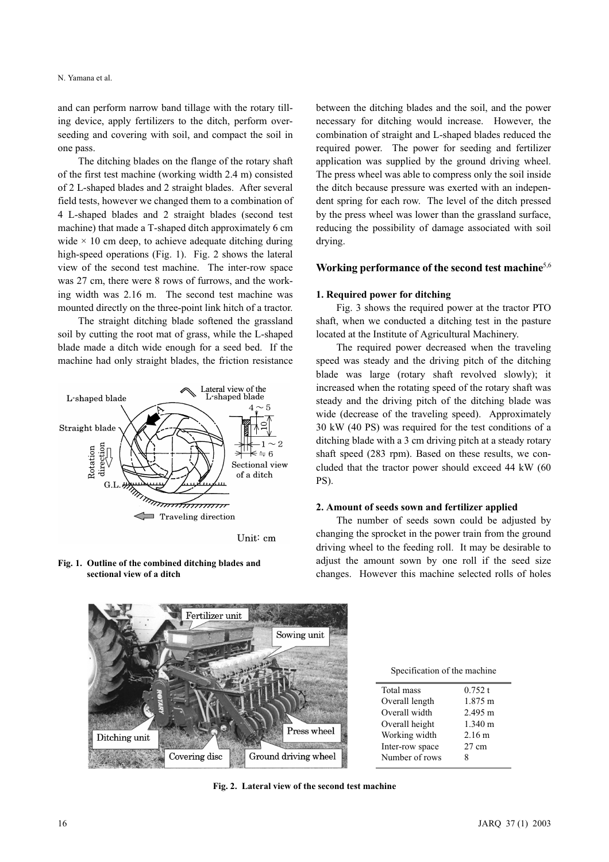and can perform narrow band tillage with the rotary tilling device, apply fertilizers to the ditch, perform overseeding and covering with soil, and compact the soil in one pass.

The ditching blades on the flange of the rotary shaft of the first test machine (working width 2.4 m) consisted of 2 L-shaped blades and 2 straight blades. After several field tests, however we changed them to a combination of 4 L-shaped blades and 2 straight blades (second test machine) that made a T-shaped ditch approximately 6 cm wide  $\times$  10 cm deep, to achieve adequate ditching during high-speed operations (Fig. 1). Fig. 2 shows the lateral view of the second test machine. The inter-row space was 27 cm, there were 8 rows of furrows, and the working width was 2.16 m. The second test machine was mounted directly on the three-point link hitch of a tractor.

The straight ditching blade softened the grassland soil by cutting the root mat of grass, while the L-shaped blade made a ditch wide enough for a seed bed. If the machine had only straight blades, the friction resistance



Unit: cm

Fig. 1. Outline of the combined ditching blades and sectional view of a ditch

between the ditching blades and the soil, and the power necessary for ditching would increase. However, the combination of straight and L-shaped blades reduced the required power. The power for seeding and fertilizer application was supplied by the ground driving wheel. The press wheel was able to compress only the soil inside the ditch because pressure was exerted with an independent spring for each row. The level of the ditch pressed by the press wheel was lower than the grassland surface, reducing the possibility of damage associated with soil drying.

#### Working performance of the second test machine<sup>5,6</sup>

### 1. Required power for ditching

Fig. 3 shows the required power at the tractor PTO shaft, when we conducted a ditching test in the pasture located at the Institute of Agricultural Machinery.

The required power decreased when the traveling speed was steady and the driving pitch of the ditching blade was large (rotary shaft revolved slowly); it increased when the rotating speed of the rotary shaft was steady and the driving pitch of the ditching blade was wide (decrease of the traveling speed). Approximately 30 kW (40 PS) was required for the test conditions of a ditching blade with a 3 cm driving pitch at a steady rotary shaft speed (283 rpm). Based on these results, we concluded that the tractor power should exceed 44 kW (60 PS).

#### 2. Amount of seeds sown and fertilizer applied

The number of seeds sown could be adjusted by changing the sprocket in the power train from the ground driving wheel to the feeding roll. It may be desirable to adjust the amount sown by one roll if the seed size changes. However this machine selected rolls of holes



Specification of the machine

| Total mass      | 0.752 t           |
|-----------------|-------------------|
| Overall length  | 1.875 m           |
| Overall width   | $2.495 \text{ m}$ |
| Overall height  | $1.340 \text{ m}$ |
| Working width   | 2.16 m            |
| Inter-row space | $27 \text{ cm}$   |
| Number of rows  | 8                 |
|                 |                   |

Fig. 2. Lateral view of the second test machine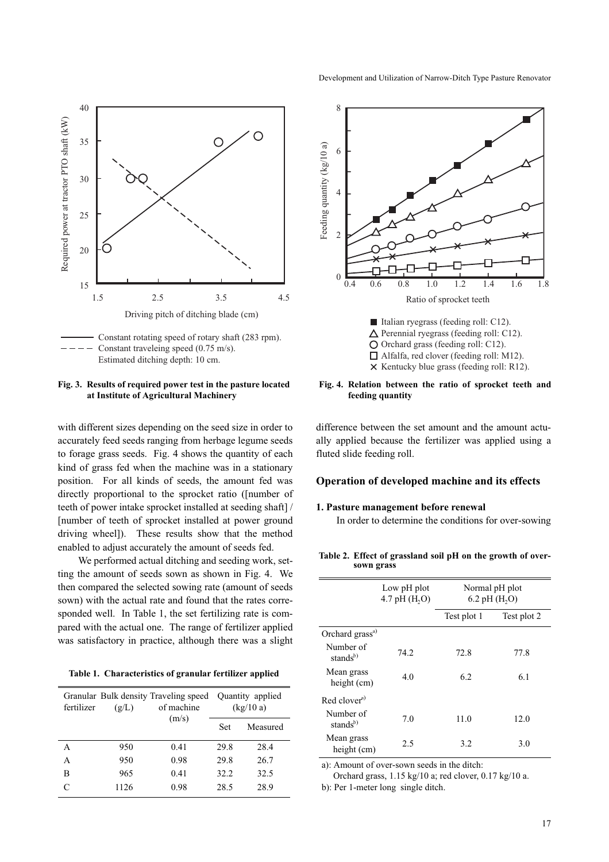

Fig. 3. Results of required power test in the pasture located at Institute of Agricultural Machinery

with different sizes depending on the seed size in order to accurately feed seeds ranging from herbage legume seeds to forage grass seeds. Fig. 4 shows the quantity of each kind of grass fed when the machine was in a stationary position. For all kinds of seeds, the amount fed was directly proportional to the sprocket ratio ([number of teeth of power intake sprocket installed at seeding shaft] / [number of teeth of sprocket installed at power ground driving wheel]). These results show that the method enabled to adjust accurately the amount of seeds fed.

We performed actual ditching and seeding work, setting the amount of seeds sown as shown in Fig. 4. We then compared the selected sowing rate (amount of seeds sown) with the actual rate and found that the rates corresponded well. In Table 1, the set fertilizing rate is compared with the actual one. The range of fertilizer applied was satisfactory in practice, although there was a slight

Table 1. Characteristics of granular fertilizer applied

| fertilizer        | Granular Bulk density Traveling speed  Quantity applied<br>of machine<br>(g/L) |       |      | (kg/10a) |
|-------------------|--------------------------------------------------------------------------------|-------|------|----------|
|                   |                                                                                | (m/s) | Set  | Measured |
| А                 | 950                                                                            | 0.41  | 29.8 | 28.4     |
| А                 | 950                                                                            | 0.98  | 29.8 | 26.7     |
| в                 | 965                                                                            | 0.41  | 32.2 | 32.5     |
| $\mathsf{\Gamma}$ | 1126                                                                           | 0.98  | 28.5 | 28.9     |



 $\triangle$  Perennial ryegrass (feeding roll: C12). O Orchard grass (feeding roll: C12). □ Alfalfa, red clover (feeding roll: M12).  $\times$  Kentucky blue grass (feeding roll: R12).

#### Fig. 4. Relation between the ratio of sprocket teeth and feeding quantity

difference between the set amount and the amount actually applied because the fertilizer was applied using a fluted slide feeding roll.

# Operation of developed machine and its effects

# 1. Pasture management before renewal

In order to determine the conditions for over-sowing

Table 2. Effect of grassland soil pH on the growth of oversown grass

|                                   | Low pH plot<br>4.7 pH $(H, O)$ | Normal pH plot<br>6.2 pH $(H, O)$ |             |  |  |
|-----------------------------------|--------------------------------|-----------------------------------|-------------|--|--|
|                                   |                                | Test plot 1                       | Test plot 2 |  |  |
| Orchard grass <sup>a)</sup>       |                                |                                   |             |  |  |
| Number of<br>stands <sup>b)</sup> | 74.2                           | 72.8                              | 77.8        |  |  |
| Mean grass<br>height (cm)         | 4.0                            | 6.2                               | 6.1         |  |  |
| $Red$ clover <sup>a)</sup>        |                                |                                   |             |  |  |
| Number of<br>stands <sup>b)</sup> | 7.0                            | 11.0                              | 12.0        |  |  |
| Mean grass<br>height (cm)         | 2.5                            | 3.2                               | 3.0         |  |  |

a): Amount of over-sown seeds in the ditch:

Orchard grass, 1.15 kg/10 a; red clover, 0.17 kg/10 a.

b): Per 1-meter long single ditch.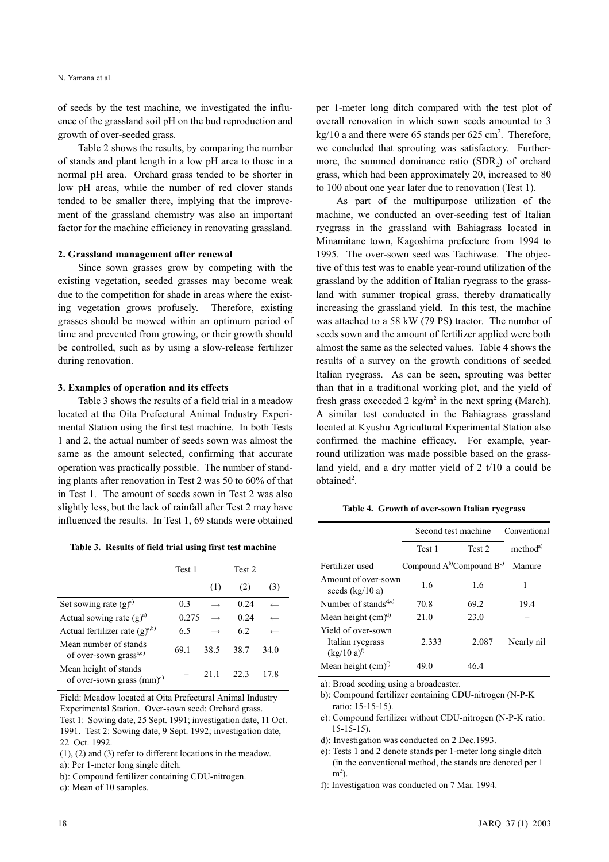of seeds by the test machine, we investigated the influence of the grassland soil pH on the bud reproduction and growth of over-seeded grass.

Table 2 shows the results, by comparing the number of stands and plant length in a low pH area to those in a normal pH area. Orchard grass tended to be shorter in low pH areas, while the number of red clover stands tended to be smaller there, implying that the improvement of the grassland chemistry was also an important factor for the machine efficiency in renovating grassland.

#### 2. Grassland management after renewal

Since sown grasses grow by competing with the existing vegetation, seeded grasses may become weak due to the competition for shade in areas where the existing vegetation grows profusely. Therefore, existing grasses should be mowed within an optimum period of time and prevented from growing, or their growth should be controlled, such as by using a slow-release fertilizer during renovation.

#### 3. Examples of operation and its effects

Table 3 shows the results of a field trial in a meadow located at the Oita Prefectural Animal Industry Experimental Station using the first test machine. In both Tests 1 and 2, the actual number of seeds sown was almost the same as the amount selected, confirming that accurate operation was practically possible. The number of standing plants after renovation in Test 2 was 50 to 60% of that in Test 1. The amount of seeds sown in Test 2 was also slightly less, but the lack of rainfall after Test 2 may have influenced the results. In Test 1, 69 stands were obtained

|  |  |  | Table 3. Results of field trial using first test machine |  |  |
|--|--|--|----------------------------------------------------------|--|--|
|--|--|--|----------------------------------------------------------|--|--|

|                                                             | Test 1 | Test 2 |      |              |
|-------------------------------------------------------------|--------|--------|------|--------------|
|                                                             |        | (1)    | (2)  | (3)          |
| Set sowing rate $(g)^{a}$                                   | 0.3    |        | 0.24 |              |
| Actual sowing rate $(g)^{a}$                                | 0.275  |        | 0.24 | $\leftarrow$ |
| Actual fertilizer rate $(g)^{a,b}$                          | 6.5    |        | 6.2  | $\leftarrow$ |
| Mean number of stands<br>of over-sown grass <sup>a,c)</sup> | 69.1   | 38.5   | 38.7 | 34.0         |
| Mean height of stands<br>of over-sown grass $(mm)^c$        |        | 21 1   | 22 3 | 17.8         |

Field: Meadow located at Oita Prefectural Animal Industry Experimental Station. Over-sown seed: Orchard grass. Test 1: Sowing date, 25 Sept. 1991; investigation date, 11 Oct. 1991. Test 2: Sowing date, 9 Sept. 1992; investigation date, 22 Oct. 1992.

(1), (2) and (3) refer to different locations in the meadow.

b): Compound fertilizer containing CDU-nitrogen.

c): Mean of 10 samples.

per 1-meter long ditch compared with the test plot of overall renovation in which sown seeds amounted to 3  $kg/10$  a and there were 65 stands per 625 cm<sup>2</sup>. Therefore, we concluded that sprouting was satisfactory. Furthermore, the summed dominance ratio (SDR<sub>2</sub>) of orchard grass, which had been approximately 20, increased to 80 to 100 about one year later due to renovation (Test 1).

As part of the multipurpose utilization of the machine, we conducted an over-seeding test of Italian ryegrass in the grassland with Bahiagrass located in Minamitane town, Kagoshima prefecture from 1994 to 1995. The over-sown seed was Tachiwase. The objective of this test was to enable year-round utilization of the grassland by the addition of Italian ryegrass to the grassland with summer tropical grass, thereby dramatically increasing the grassland yield. In this test, the machine was attached to a 58 kW (79 PS) tractor. The number of seeds sown and the amount of fertilizer applied were both almost the same as the selected values. Table 4 shows the results of a survey on the growth conditions of seeded Italian ryegrass. As can be seen, sprouting was better than that in a traditional working plot, and the yield of fresh grass exceeded  $2 \text{ kg/m}^2$  in the next spring (March). A similar test conducted in the Bahiagrass grassland located at Kyushu Agricultural Experimental Station also confirmed the machine efficacy. For example, yearround utilization was made possible based on the grassland yield, and a dry matter yield of 2 t/10 a could be obtained<sup>2</sup>.

Table 4. Growth of over-sown Italian ryegrass

|                                                           | Second test machine               | Conventional |                     |
|-----------------------------------------------------------|-----------------------------------|--------------|---------------------|
|                                                           | Test 1                            | Test 2       | method <sup>a</sup> |
| Fertilizer used                                           | Compound $A^{b}$ Compound $B^{c}$ |              | Manure              |
| Amount of over-sown<br>seeds $(kg/10a)$                   | 1.6                               | 1.6          | 1                   |
| Number of stands <sup><math>d,e</math>)</sup>             | 70.8                              | 69.2         | 19.4                |
| Mean height $(cm)^d$                                      | 21.0                              | 23.0         |                     |
| Yield of over-sown<br>Italian ryegrass<br>$(kg/10 a)^{t}$ | 2.333                             | 2.087        | Nearly nil          |
| Mean height $(cm)^{t}$                                    | 49.0                              | 46.4         |                     |

a): Broad seeding using a broadcaster.

- b): Compound fertilizer containing CDU-nitrogen (N-P-K ratio: 15-15-15).
- c): Compound fertilizer without CDU-nitrogen (N-P-K ratio: 15-15-15).
- d): Investigation was conducted on 2 Dec.1993.
- e): Tests 1 and 2 denote stands per 1-meter long single ditch (in the conventional method, the stands are denoted per 1 m<sup>2</sup>).
- f): Investigation was conducted on 7 Mar. 1994.

a): Per 1-meter long single ditch.